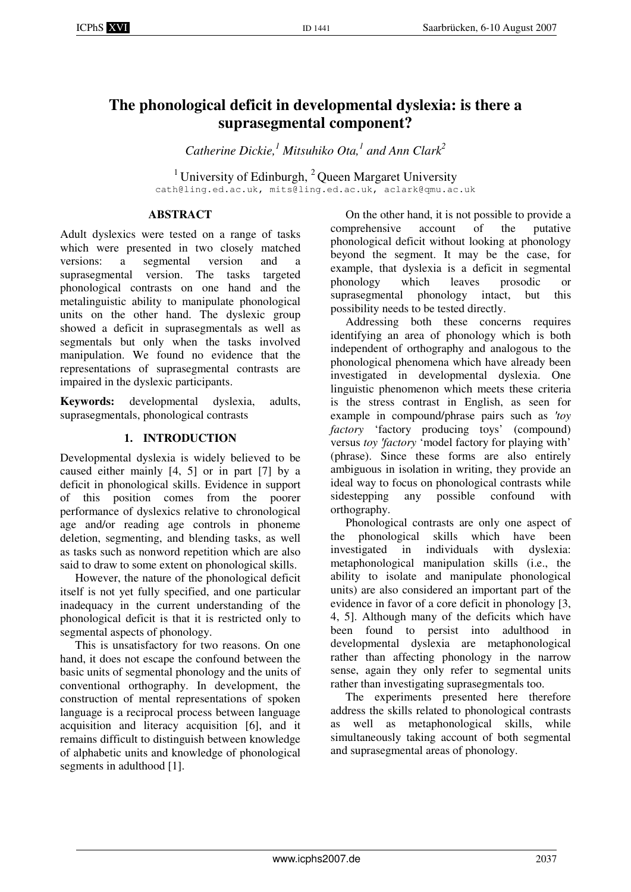# **The phonological deficit in developmental dyslexia: is there a suprasegmental component?**

*Catherine Dickie,<sup>1</sup> Mitsuhiko Ota,<sup>1</sup> and Ann Clark<sup>2</sup>*

<sup>1</sup> University of Edinburgh,  ${}^{2}$  Queen Margaret University cath@ling.ed.ac.uk, mits@ling.ed.ac.uk, aclark@qmu.ac.uk

# **ABSTRACT**

Adult dyslexics were tested on a range of tasks which were presented in two closely matched versions: a segmental version and a suprasegmental version. The tasks targeted phonological contrasts on one hand and the metalinguistic ability to manipulate phonological units on the other hand. The dyslexic group showed a deficit in suprasegmentals as well as segmentals but only when the tasks involved manipulation. We found no evidence that the representations of suprasegmental contrasts are impaired in the dyslexic participants.

**Keywords:** developmental dyslexia, adults, suprasegmentals, phonological contrasts

## **1. INTRODUCTION**

Developmental dyslexia is widely believed to be caused either mainly [4, 5] or in part [7] by a deficit in phonological skills. Evidence in support of this position comes from the poorer performance of dyslexics relative to chronological age and/or reading age controls in phoneme deletion, segmenting, and blending tasks, as well as tasks such as nonword repetition which are also said to draw to some extent on phonological skills.

However, the nature of the phonological deficit itself is not yet fully specified, and one particular inadequacy in the current understanding of the phonological deficit is that it is restricted only to segmental aspects of phonology.

This is unsatisfactory for two reasons. On one hand, it does not escape the confound between the basic units of segmental phonology and the units of conventional orthography. In development, the construction of mental representations of spoken language is a reciprocal process between language acquisition and literacy acquisition [6], and it remains difficult to distinguish between knowledge of alphabetic units and knowledge of phonological segments in adulthood [1].

On the other hand, it is not possible to provide a comprehensive account of the putative phonological deficit without looking at phonology beyond the segment. It may be the case, for example, that dyslexia is a deficit in segmental phonology which leaves prosodic or<br>suprasegmental phonology intact, but this suprasegmental phonology intact, but this possibility needs to be tested directly.

Addressing both these concerns requires identifying an area of phonology which is both independent of orthography and analogous to the phonological phenomena which have already been investigated in developmental dyslexia. One linguistic phenomenon which meets these criteria is the stress contrast in English, as seen for example in compound/phrase pairs such as ′*toy factory* 'factory producing toys' (compound) versus *toy* ′*factory* 'model factory for playing with' (phrase). Since these forms are also entirely ambiguous in isolation in writing, they provide an ideal way to focus on phonological contrasts while sidestepping any possible confound with orthography.

Phonological contrasts are only one aspect of the phonological skills which have been investigated in individuals with dyslexia: metaphonological manipulation skills (i.e., the ability to isolate and manipulate phonological units) are also considered an important part of the evidence in favor of a core deficit in phonology [3, 4, 5]. Although many of the deficits which have been found to persist into adulthood in developmental dyslexia are metaphonological rather than affecting phonology in the narrow sense, again they only refer to segmental units rather than investigating suprasegmentals too.

The experiments presented here therefore address the skills related to phonological contrasts as well as metaphonological skills, while simultaneously taking account of both segmental and suprasegmental areas of phonology.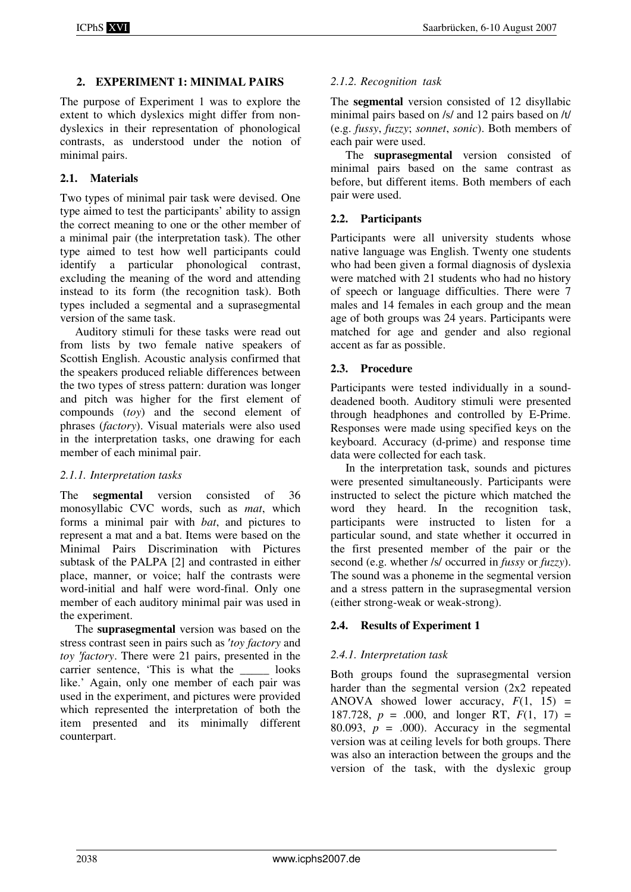#### **2. EXPERIMENT 1: MINIMAL PAIRS**

The purpose of Experiment 1 was to explore the extent to which dyslexics might differ from nondyslexics in their representation of phonological contrasts, as understood under the notion of minimal pairs.

#### **2.1. Materials**

Two types of minimal pair task were devised. One type aimed to test the participants' ability to assign the correct meaning to one or the other member of a minimal pair (the interpretation task). The other type aimed to test how well participants could identify a particular phonological contrast, excluding the meaning of the word and attending instead to its form (the recognition task). Both types included a segmental and a suprasegmental version of the same task.

Auditory stimuli for these tasks were read out from lists by two female native speakers of Scottish English. Acoustic analysis confirmed that the speakers produced reliable differences between the two types of stress pattern: duration was longer and pitch was higher for the first element of compounds (*toy*) and the second element of phrases (*factory*). Visual materials were also used in the interpretation tasks, one drawing for each member of each minimal pair.

#### *2.1.1. Interpretation tasks*

The **segmental** version consisted of 36 monosyllabic CVC words, such as *mat*, which forms a minimal pair with *bat*, and pictures to represent a mat and a bat. Items were based on the Minimal Pairs Discrimination with Pictures subtask of the PALPA [2] and contrasted in either place, manner, or voice; half the contrasts were word-initial and half were word-final. Only one member of each auditory minimal pair was used in the experiment.

The **suprasegmental** version was based on the stress contrast seen in pairs such as ′*toy factory* and *toy* ′*factory*. There were 21 pairs, presented in the carrier sentence. This is what the looks like.' Again, only one member of each pair was used in the experiment, and pictures were provided which represented the interpretation of both the item presented and its minimally different counterpart.

#### *2.1.2. Recognition task*

The **segmental** version consisted of 12 disyllabic minimal pairs based on /s/ and 12 pairs based on /t/ (e.g. *fussy*, *fuzzy*; *sonnet*, *sonic*). Both members of each pair were used.

The **suprasegmental** version consisted of minimal pairs based on the same contrast as before, but different items. Both members of each pair were used.

#### **2.2. Participants**

Participants were all university students whose native language was English. Twenty one students who had been given a formal diagnosis of dyslexia were matched with 21 students who had no history of speech or language difficulties. There were 7 males and 14 females in each group and the mean age of both groups was 24 years. Participants were matched for age and gender and also regional accent as far as possible.

#### **2.3. Procedure**

Participants were tested individually in a sounddeadened booth. Auditory stimuli were presented through headphones and controlled by E-Prime. Responses were made using specified keys on the keyboard. Accuracy (d-prime) and response time data were collected for each task.

In the interpretation task, sounds and pictures were presented simultaneously. Participants were instructed to select the picture which matched the word they heard. In the recognition task, participants were instructed to listen for a particular sound, and state whether it occurred in the first presented member of the pair or the second (e.g. whether /s/ occurred in *fussy* or *fuzzy*). The sound was a phoneme in the segmental version and a stress pattern in the suprasegmental version (either strong-weak or weak-strong).

#### **2.4. Results of Experiment 1**

#### *2.4.1. Interpretation task*

Both groups found the suprasegmental version harder than the segmental version (2x2 repeated ANOVA showed lower accuracy,  $F(1, 15)$  = 187.728,  $p = .000$ , and longer RT,  $F(1, 17) =$ 80.093,  $p = .000$ ). Accuracy in the segmental version was at ceiling levels for both groups. There was also an interaction between the groups and the version of the task, with the dyslexic group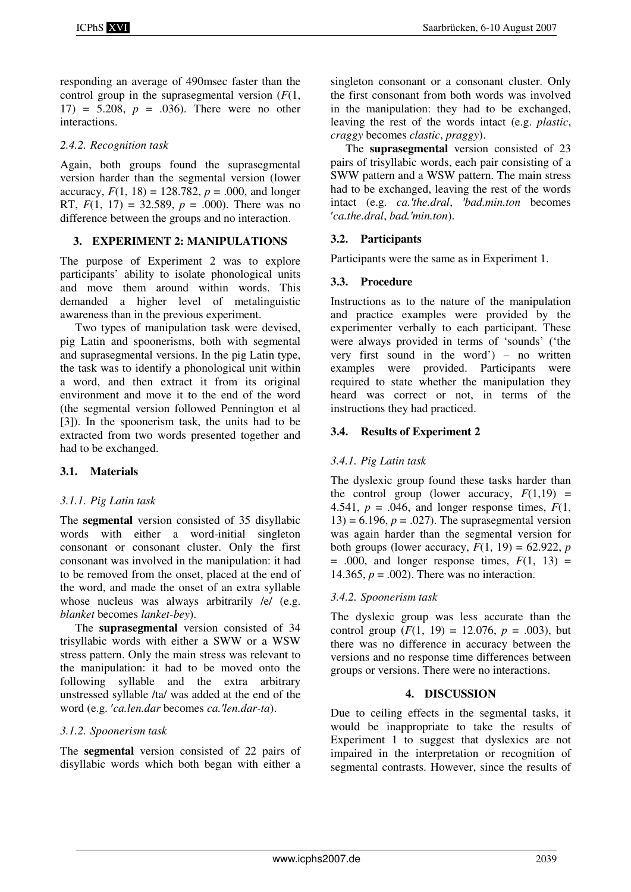responding an average of 490msec faster than the control group in the suprasegmental version (*F*(1, 17) = 5.208, *p* = .036). There were no other interactions.

### *2.4.2. Recognition task*

Again, both groups found the suprasegmental version harder than the segmental version (lower accuracy,  $F(1, 18) = 128.782$ ,  $p = .000$ , and longer RT,  $F(1, 17) = 32.589$ ,  $p = .000$ ). There was no difference between the groups and no interaction.

### **3. EXPERIMENT 2: MANIPULATIONS**

The purpose of Experiment 2 was to explore participants' ability to isolate phonological units and move them around within words. This demanded a higher level of metalinguistic awareness than in the previous experiment.

Two types of manipulation task were devised, pig Latin and spoonerisms, both with segmental and suprasegmental versions. In the pig Latin type, the task was to identify a phonological unit within a word, and then extract it from its original environment and move it to the end of the word (the segmental version followed Pennington et al [3]). In the spoonerism task, the units had to be extracted from two words presented together and had to be exchanged.

### **3.1. Materials**

### *3.1.1. Pig Latin task*

The **segmental** version consisted of 35 disyllabic words with either a word-initial singleton consonant or consonant cluster. Only the first consonant was involved in the manipulation: it had to be removed from the onset, placed at the end of the word, and made the onset of an extra syllable whose nucleus was always arbitrarily /e/ (e.g. *blanket* becomes *lanket-bey*).

The **suprasegmental** version consisted of 34 trisyllabic words with either a SWW or a WSW stress pattern. Only the main stress was relevant to the manipulation: it had to be moved onto the following syllable and the extra arbitrary unstressed syllable /ta/ was added at the end of the word (e.g. ′*ca.len.dar* becomes *ca.*′*len.dar-ta*).

### *3.1.2. Spoonerism task*

The **segmental** version consisted of 22 pairs of disyllabic words which both began with either a singleton consonant or a consonant cluster. Only the first consonant from both words was involved in the manipulation: they had to be exchanged, leaving the rest of the words intact (e.g. *plastic*, *craggy* becomes *clastic*, *praggy*).

The **suprasegmental** version consisted of 23 pairs of trisyllabic words, each pair consisting of a SWW pattern and a WSW pattern. The main stress had to be exchanged, leaving the rest of the words intact (e.g. *ca.*′*the.dral*, ′*bad.min.ton* becomes ′*ca.the.dral*, *bad.*′*min.ton*).

### **3.2. Participants**

Participants were the same as in Experiment 1.

### **3.3. Procedure**

Instructions as to the nature of the manipulation and practice examples were provided by the experimenter verbally to each participant. These were always provided in terms of 'sounds' ('the very first sound in the word') – no written examples were provided. Participants were required to state whether the manipulation they heard was correct or not, in terms of the instructions they had practiced.

### **3.4. Results of Experiment 2**

### *3.4.1. Pig Latin task*

The dyslexic group found these tasks harder than the control group (lower accuracy,  $F(1,19) =$ 4.541,  $p = .046$ , and longer response times,  $F(1)$ ,  $13$ ) = 6.196,  $p = .027$ ). The suprasegmental version was again harder than the segmental version for both groups (lower accuracy,  $F(1, 19) = 62.922$ , *p*  $= .000$ , and longer response times,  $F(1, 13) =$ 14.365,  $p = .002$ ). There was no interaction.

### *3.4.2. Spoonerism task*

The dyslexic group was less accurate than the control group  $(F(1, 19) = 12.076, p = .003)$ , but there was no difference in accuracy between the versions and no response time differences between groups or versions. There were no interactions.

### **4. DISCUSSION**

Due to ceiling effects in the segmental tasks, it would be inappropriate to take the results of Experiment 1 to suggest that dyslexics are not impaired in the interpretation or recognition of segmental contrasts. However, since the results of